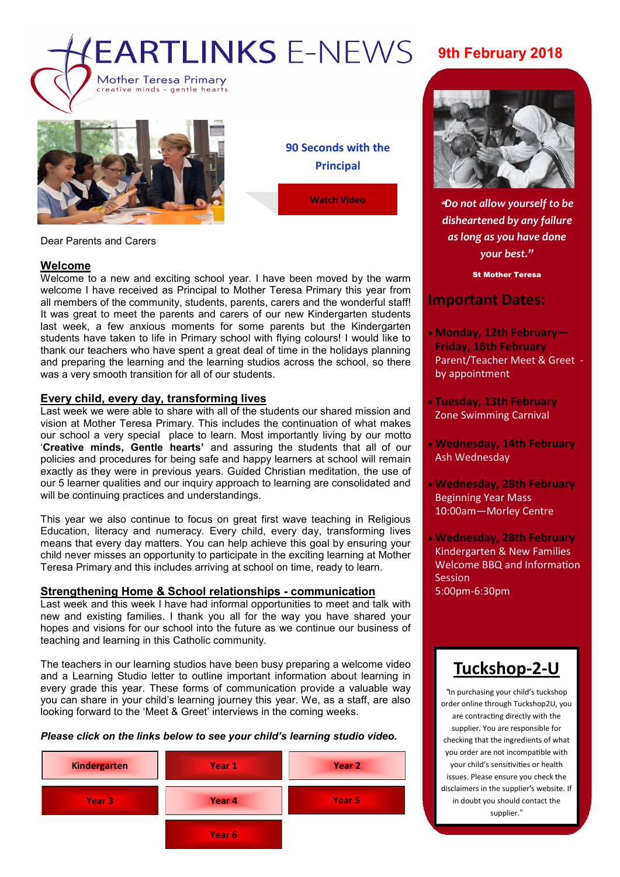



**90 Seconds with the Principal**

**[Watch Video](https://www.facebook.com/plugins/video.php?href=https%3A%2F%2Fwww.facebook.com%2FMother.Teresa.Primary%2Fvideos%2F1638136759602153%2F&show_text=0&width=560)**

### Dear Parents and Carers

### **Welcome**

Welcome to a new and exciting school year. I have been moved by the warm welcome I have received as Principal to Mother Teresa Primary this year from all members of the community, students, parents, carers and the wonderful staff! It was great to meet the parents and carers of our new Kindergarten students last week, a few anxious moments for some parents but the Kindergarten students have taken to life in Primary school with flying colours! I would like to thank our teachers who have spent a great deal of time in the holidays planning and preparing the learning and the learning studios across the school, so there was a very smooth transition for all of our students.

### **Every child, every day, transforming lives**

Last week we were able to share with all of the students our shared mission and vision at Mother Teresa Primary. This includes the continuation of what makes our school a very special place to learn. Most importantly living by our motto '**Creative minds, Gentle hearts'** and assuring the students that all of our policies and procedures for being safe and happy learners at school will remain exactly as they were in previous years. Guided Christian meditation, the use of our 5 learner qualities and our inquiry approach to learning are consolidated and will be continuing practices and understandings.

This year we also continue to focus on great first wave teaching in Religious Education, literacy and numeracy. Every child, every day, transforming lives means that every day matters. You can help achieve this goal by ensuring your child never misses an opportunity to participate in the exciting learning at Mother Teresa Primary and this includes arriving at school on time, ready to learn.

### **Strengthening Home & School relationships - communication**

Last week and this week I have had informal opportunities to meet and talk with new and existing families. I thank you all for the way you have shared your hopes and visions for our school into the future as we continue our business of teaching and learning in this Catholic community.

The teachers in our learning studios have been busy preparing a welcome video and a Learning Studio letter to outline important information about learning in every grade this year. These forms of communication provide a valuable way you can share in your child's learning journey this year. We, as a staff, are also looking forward to the 'Meet & Greet' interviews in the coming weeks.

*Please click on the links below to see your child's learning studio video.*



# **9th February 2018**



"*Do not allow yourself to be disheartened by any failure as long as you have done your best."*

St Mother Teresa

## **Important Dates:**

- **Monday, 12th February— Friday, 16th February** Parent/Teacher Meet & Greet by appointment
- **Tuesday, 13th February** Zone Swimming Carnival
- **Wednesday, 14th February** Ash Wednesday
- **Wednesday, 28th February** Beginning Year Mass 10:00am—Morley Centre
- **Wednesday, 28th February** Kindergarten & New Families Welcome BBQ and Information Session 5:00pm-6:30pm

# **[Tuckshop](https://tuckshop2u.com.au/)-2-U**

*"*In purchasing your child's tuckshop order online through Tuckshop2U, you are contracting directly with the supplier. You are responsible for checking that the ingredients of what you order are not incompatible with your child's sensitivities or health issues. Please ensure you check the disclaimers in the supplier's website. If in doubt you should contact the supplier."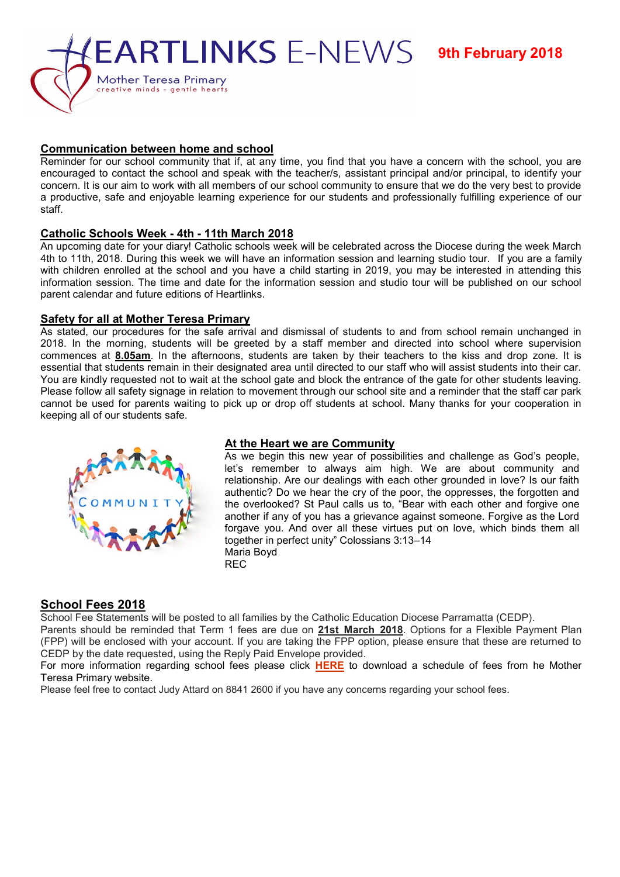

## **Communication between home and school**

concern. It is our aim to work with all members of our school community to ensure that we do the very best to provide Reminder for our school community that if, at any time, you find that you have a concern with the school, you are encouraged to contact the school and speak with the teacher/s, assistant principal and/or principal, to identify your a productive, safe and enjoyable learning experience for our students and professionally fulfilling experience of our staff.

## **Catholic Schools Week - 4th - 11th March 2018**

An upcoming date for your diary! Catholic schools week will be celebrated across the Diocese during the week March 4th to 11th, 2018. During this week we will have an information session and learning studio tour. If you are a family with children enrolled at the school and you have a child starting in 2019, you may be interested in attending this information session. The time and date for the information session and studio tour will be published on our school parent calendar and future editions of Heartlinks.

### **Safety for all at Mother Teresa Primary**

As stated, our procedures for the safe arrival and dismissal of students to and from school remain unchanged in 2018. In the morning, students will be greeted by a staff member and directed into school where supervision commences at **8.05am**. In the afternoons, students are taken by their teachers to the kiss and drop zone. It is essential that students remain in their designated area until directed to our staff who will assist students into their car. You are kindly requested not to wait at the school gate and block the entrance of the gate for other students leaving. Please follow all safety signage in relation to movement through our school site and a reminder that the staff car park cannot be used for parents waiting to pick up or drop off students at school. Many thanks for your cooperation in keeping all of our students safe.



# **At the Heart we are Community**

As we begin this new year of possibilities and challenge as God's people, let's remember to always aim high. We are about community and relationship. Are our dealings with each other grounded in love? Is our faith authentic? Do we hear the cry of the poor, the oppresses, the forgotten and the overlooked? St Paul calls us to, "Bear with each other and forgive one another if any of you has a grievance against someone. Forgive as the Lord forgave you. And over all these virtues put on love, which binds them all together in perfect unity" Colossians 3:13–14 Maria Boyd REC

# **School Fees 2018**

School Fee Statements will be posted to all families by the Catholic Education Diocese Parramatta (CEDP).

Parents should be reminded that Term 1 fees are due on **21st March 2018**. Options for a Flexible Payment Plan (FPP) will be enclosed with your account. If you are taking the FPP option, please ensure that these are returned to CEDP by the date requested, using the Reply Paid Envelope provided.

For more information regarding school fees please click **[HERE](http://www.motherteresawestmead.catholic.edu.au/SiteData/208/UserFiles/Resources/2018%20Mother%20Teresa%20Primary%20School%20Fees%20Schedule%20K-6.pdf)** to download a schedule of fees from he Mother Teresa Primary website.

Please feel free to contact Judy Attard on 8841 2600 if you have any concerns regarding your school fees.